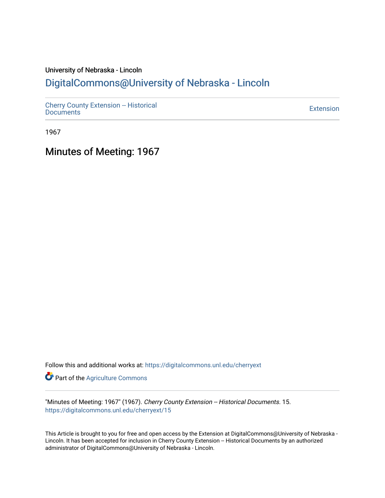## University of Nebraska - Lincoln [DigitalCommons@University of Nebraska - Lincoln](https://digitalcommons.unl.edu/)

[Cherry County Extension -- Historical](https://digitalcommons.unl.edu/cherryext)  [Documents](https://digitalcommons.unl.edu/cherryext) [Extension](https://digitalcommons.unl.edu/coop_extension) 

1967

Minutes of Meeting: 1967

Follow this and additional works at: [https://digitalcommons.unl.edu/cherryext](https://digitalcommons.unl.edu/cherryext?utm_source=digitalcommons.unl.edu%2Fcherryext%2F15&utm_medium=PDF&utm_campaign=PDFCoverPages) 

**Part of the [Agriculture Commons](http://network.bepress.com/hgg/discipline/1076?utm_source=digitalcommons.unl.edu%2Fcherryext%2F15&utm_medium=PDF&utm_campaign=PDFCoverPages)** 

"Minutes of Meeting: 1967" (1967). Cherry County Extension -- Historical Documents. 15. [https://digitalcommons.unl.edu/cherryext/15](https://digitalcommons.unl.edu/cherryext/15?utm_source=digitalcommons.unl.edu%2Fcherryext%2F15&utm_medium=PDF&utm_campaign=PDFCoverPages)

This Article is brought to you for free and open access by the Extension at DigitalCommons@University of Nebraska - Lincoln. It has been accepted for inclusion in Cherry County Extension -- Historical Documents by an authorized administrator of DigitalCommons@University of Nebraska - Lincoln.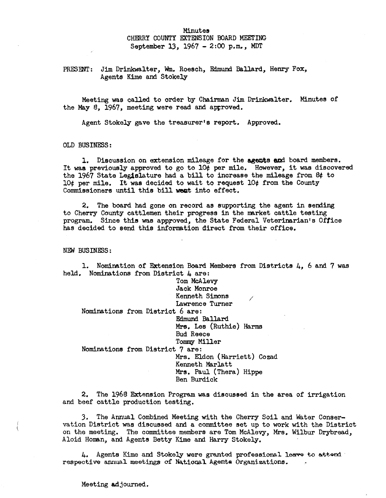#### Minutes

# CHERRY COUNTY EXTENSION BOARD MEETING

September 13, 1967 - 2:00 p.m., MDT

#### PRESENT: Jim Drinkwalter, Wm. Roesch, Edmund Ballard, Henry Fox, Agents Kime and Stokely

Meeting was called to order by Chairman Jim Drinkwalter. Minutes of the May 8, 1967, meeting were read and approved.

Agent Stokely gave the treasurer's report. Approved.

OLD BUSINESS:

1. Discussion on extension mileage for the agents and board members. It was previously approved to go to  $10\ell$  per mile. However, it was discovered the 1967 State Leg1slature had a bill to increase the mileage from 8¢ to lO¢ per mile. It was decided to wait to request lO¢ from the County Commissioners until this bill went into effect.

2. The board had gone on record as supporting the agent in sending to Cherry County cattlemen their progress in the rnarket cattle testing program. Since this was approved, the State Federal Veterinarian's Office has decided to send this information direct from their office.

NEW BUSINESS:

1. Nomination of Extension Board Members from Districts 4, 6 and 7 was held. Nominations from District 4 are:

> Tom McAlevy Jack Monroe Kenneth Simons

Lawrence Turner

Nominations from District 6 are:

Edmund Ballard

Mrs. Les (Ruthie) Harms

/

Bud Reece

## Tommy Miller

Nominations from District 7 are:

Mrs. Eldon (Harriett) Cozad Kenneth Marlatt Mrs. Paul (Thera) Hippe Ben Burdick

2. The 1968 Extension Program was discussed in the area of irrigation and beef cattle production testing.

:3. The Annual Combined Meeting with the Cherry Soil and Water Conservation District was discussed and a committee set up to work with the District on the meeting. The committee members are Tom McAlevy, Mrs. Wilbur Drybread, Aloid Hornan, and Agents Betty Kime and Harry Stokely.

4. Agents Kime and Stokely were granted professional leave to attend respective annual meetings of National Agents Organizations.

Meeting adjourned.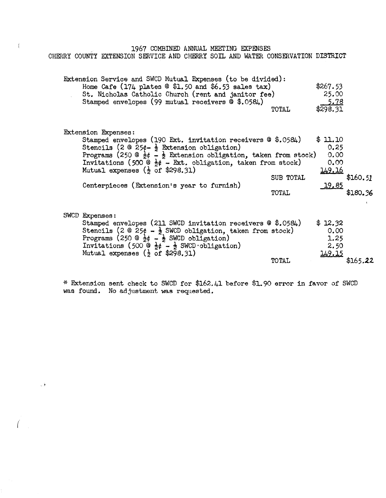1967 COMBINED ANNUAL MEETING EXPENSES

CHERRY COUNTY EXTENSION SERVICE AND CHERRY SOIL AND WATER CONSERVATION DISTRICT

| Extension Service and SWCD Mutual Expenses (to be divided):                                                                                                                                                   | Home Cafe $(174$ plates @ \$1.50 and \$6.53 sales tax)<br>St. Nicholas Catholic Church (rent and janitor fee)                                                                                                                                   |                    | \$267.53<br>25.00                                          |                      |
|---------------------------------------------------------------------------------------------------------------------------------------------------------------------------------------------------------------|-------------------------------------------------------------------------------------------------------------------------------------------------------------------------------------------------------------------------------------------------|--------------------|------------------------------------------------------------|----------------------|
| Stamped envelopes (99 mutual receivers @ \$.0584)                                                                                                                                                             |                                                                                                                                                                                                                                                 | TOTAL              | 5.78<br>\$298.31                                           |                      |
| <b>Extension Expenses:</b><br>Stencils (2 $\circ$ 25¢- $\frac{1}{2}$ Extension obligation)<br>Mutual expenses $(\frac{1}{2}$ of \$298.31)<br>Centerpieces (Extension's year to furnish)                       | Stamped envelopes (190 Ext. invitation receivers @ \$.0584)<br>Programs (250 $\circledcirc$ $\frac{1}{2}\phi$ $\cdot\frac{1}{2}$ Extension obligation, taken from stock)<br>Invitations (500 $\frac{1}{2}$ + Ext. obligation, taken from stock) | SUB TOTAL<br>TOTAL | \$11.10<br>0,25<br>0.00<br>0.00<br><u> 149.16</u><br>19,85 | \$160.51<br>\$180.36 |
| SWCD Expenses:<br>Programs (250 $\circledcirc \frac{1}{2}\phi - \frac{1}{2}$ SWCD obligation)<br>Invitations (500 $\frac{1}{2}$ $\frac{1}{2}$ SWCD obligation)<br>Mutual expenses $(\frac{1}{2}$ of \$298.31) | Stamped envelopes (211 SWCD invitation receivers @ \$.0584)<br>Stencils (2 @ 25¢ - $\frac{1}{2}$ SWCD obligation, taken from stock)                                                                                                             | <b>TOTAL</b>       | \$12,32<br>0.00<br>1.25<br>2.50<br>149.15                  | \$165.22             |

~~ Extension sent check to SWCD for \$162.41 before \$1.90 error in favor of SWCD was found. No adjustment was requested.

 $\sqrt{2}$ 

 $\sim$   $\tau$ 

 $\overline{1}$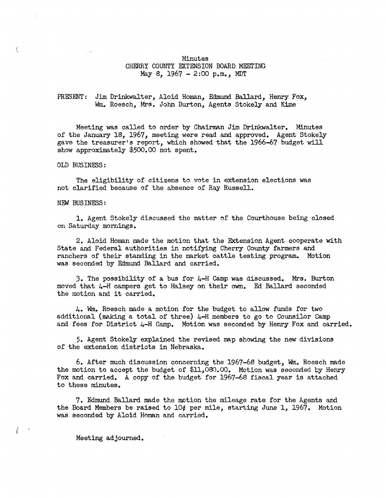#### Minutes CHERRY COUNTY EXTENSION BOARD MEETING May 8,  $1967 - 2:00$  p.m., MDT

#### PRESENT: Jim. Drinkwalter, Aloid Homan, Edmund Ballard, Henry Fox, Wm. Roesch, Mrs. John Burton, Agents Stokely and Kime

Meeting was called to order by Chairman Jim. Drinkwa1ter. Minutes of the January 18, 1967, meeting were read and approved. Agent Stokely gave the treasurer's report, which showed that the 1966-67 budget will show approximately \$500.00 not spent.

OLD BUSINESS:

The eligibility of citizens to vote in extension elections was not clarified because of the absence of Ray Russell.

#### NEW BUSINESS:

1. Agent Stokely discussed the matter of the Courthouse being closed on Saturday mornings.

2. Aloid Homan made the motion that the Extension Agent cooperate with State and Federal authorities in notifying Cherry County farmers and ranchers of their standing in the market cattle testing program. Motion was seconded by Edmund Ballard and carried.

3. The possibility of a bus for 4-H Camp was discussed. Mrs. Burton moved that 4-H campers get to Halsey on their own. Ed Ballard seconded the motion and it carried.

4. Wm. Roesch made a motion for the budget to allow funds for two additional (making a total of three)  $4-H$  members to go to Counsilor Camp and fees for District  $\mu$ -H Camp. Motion was seconded by Henry Fox and carried.

5. Agent Stokely explained the revised map showing the new divisions of the extension districts in Nebraska.

6. After much discussion concerning the 1967-68 budget, Wm. Roesch made the motion to accept the budget of \$11,080.00. Motion was seconded by Henry Fox and carried. A copy of the budget for 1967-68 fiscal year is attached to these minutes.

7. Edmund Ballard made the motion the mileage rate for the Agents and the Board Members be raised to 10¢ per mile, starting June 1, 1967. Motion was seconded by Aloid Homan and carried.

Meeting adjourned.

{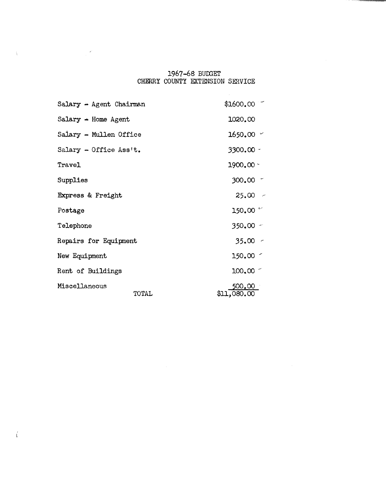# 1967-68 BUDGET<br>CHERRY COUNTY EXTENSION SERVICE

 $\sim 10^{-1}$ 

| Salary $\rightarrow$ Agent Chairman | $$1600,00$ $^{-}$     |
|-------------------------------------|-----------------------|
| Salary $-$ Home Agent               | 1020.00               |
| Salary - Mullen Office              | $1650,00$ $\sim$      |
| Salary - Office Ass't.              | 3300.00 -             |
| Travel                              | $1900,00 -$           |
| Supplies                            | $300.00$ $^{-1}$      |
| Express & Freight                   | $25.00 -$             |
| Postage                             | 150.00 $\sim$         |
| Telephone                           | $350.00 -$            |
| Repairs for Equipment               | $35.00 -$             |
| New Equipment                       | $150.00$ $\leq$       |
| Rent of Buildings                   | $100,00$ $^{-1}$      |
| Miscellaneous<br>TOTAL              | 500.00<br>\$11,080.00 |

 $\mathcal{L} = \mathcal{L} \mathcal{L}$  .

 $\Delta \Delta \sim 1$ 

 $\langle$